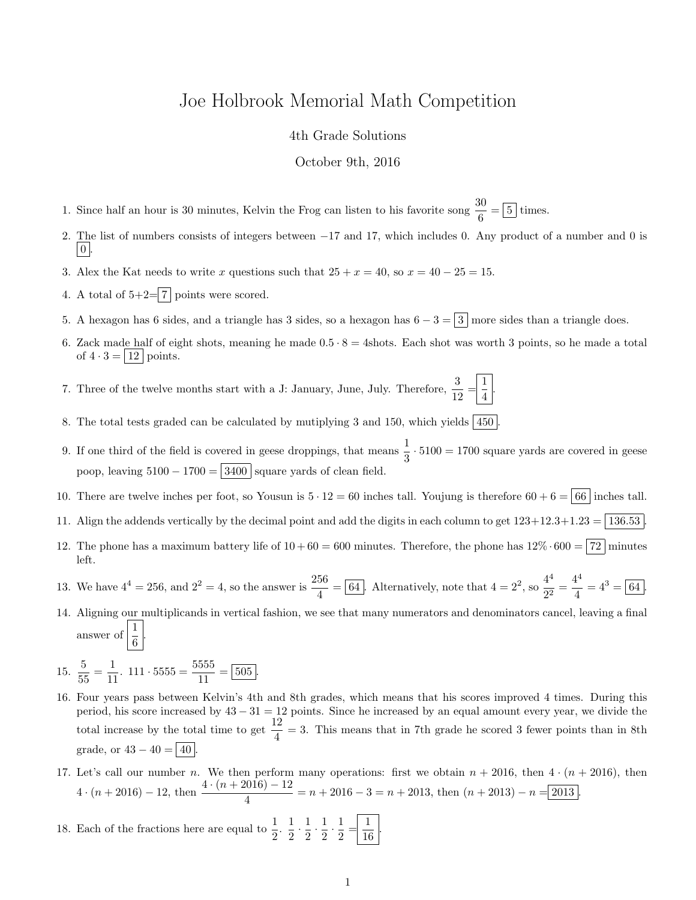## Joe Holbrook Memorial Math Competition

## 4th Grade Solutions

October 9th, 2016

- 1. Since half an hour is 30 minutes, Kelvin the Frog can listen to his favorite song  $\frac{30}{6} = \boxed{5}$  times.
- 2. The list of numbers consists of integers between −17 and 17, which includes 0. Any product of a number and 0 is  $\vert 0 \vert$
- 3. Alex the Kat needs to write x questions such that  $25 + x = 40$ , so  $x = 40 25 = 15$ .
- 4. A total of  $5+2=\boxed{7}$  points were scored.
- 5. A hexagon has 6 sides, and a triangle has 3 sides, so a hexagon has  $6 3 = 3$  more sides than a triangle does.
- 6. Zack made half of eight shots, meaning he made  $0.5 \cdot 8 = 4$ shots. Each shot was worth 3 points, so he made a total of  $4 \cdot 3 = |12|$  points.
- 7. Three of the twelve months start with a J: January, June, July. Therefore,  $\frac{3}{12} = \frac{1}{4}$  $\frac{1}{4}$
- 8. The total tests graded can be calculated by mutiplying 3 and 150, which yields  $450$
- 9. If one third of the field is covered in geese droppings, that means  $\frac{1}{3} \cdot 5100 = 1700$  square yards are covered in geese poop, leaving  $5100 - 1700 = 3400$  square yards of clean field.
- 10. There are twelve inches per foot, so Yousun is  $5 \cdot 12 = 60$  inches tall. Youjung is therefore  $60 + 6 = |66|$  inches tall.
- 11. Align the addends vertically by the decimal point and add the digits in each column to get  $123+12.3+1.23 = |136.53|$
- 12. The phone has a maximum battery life of  $10+60=600$  minutes. Therefore, the phone has  $12\% \cdot 600 = |72|$  minutes left.
- 13. We have  $4^4 = 256$ , and  $2^2 = 4$ , so the answer is  $\frac{256}{4} = \boxed{64}$ . Alternatively, note that  $4 = 2^2$ , so  $\frac{4^4}{2^2}$  $rac{4^4}{2^2} = \frac{4^4}{4}$  $\frac{4}{4} = 4^3 = 64.$
- 14. Aligning our multiplicands in vertical fashion, we see that many numerators and denominators cancel, leaving a final answer of  $\frac{1}{6}$ .

15. 
$$
\frac{5}{55} = \frac{1}{11}
$$
. 111. 5555 =  $\frac{5555}{11} = \boxed{505}$ .

- 16. Four years pass between Kelvin's 4th and 8th grades, which means that his scores improved 4 times. During this period, his score increased by 43 − 31 = 12 points. Since he increased by an equal amount every year, we divide the total increase by the total time to get  $\frac{12}{4} = 3$ . This means that in 7th grade he scored 3 fewer points than in 8th grade, or  $43 - 40 = |40|$
- 17. Let's call our number n. We then perform many operations: first we obtain  $n + 2016$ , then  $4 \cdot (n + 2016)$ , then  $4 \cdot (n + 2016) - 12$ , then  $\frac{4 \cdot (n + 2016) - 12}{4} = n + 2016 - 3 = n + 2013$ , then  $(n + 2013) - n = 2013$ .

18. Each of the fractions here are equal to 
$$
\frac{1}{2}
$$
.  $\frac{1}{2} \cdot \frac{1}{2} \cdot \frac{1}{2} \cdot \frac{1}{2} = \frac{1}{16}$ .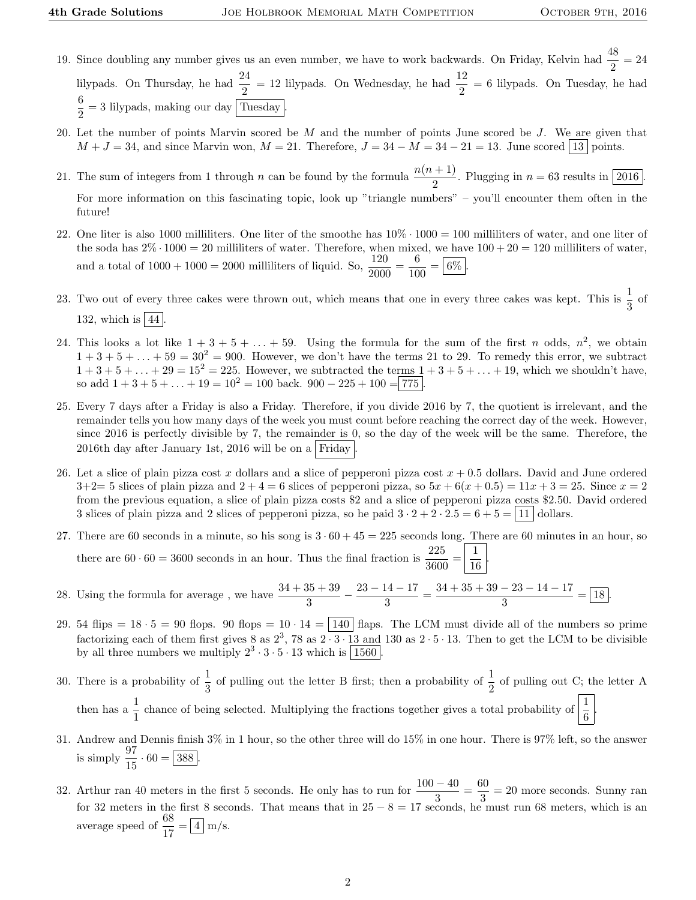- 19. Since doubling any number gives us an even number, we have to work backwards. On Friday, Kelvin had  $\frac{48}{2} = 24$ lilypads. On Thursday, he had  $\frac{24}{2} = 12$  lilypads. On Wednesday, he had  $\frac{12}{2} = 6$  lilypads. On Tuesday, he had 6  $\frac{1}{2}$  = 3 lilypads, making our day Tuesday.
- 20. Let the number of points Marvin scored be  $M$  and the number of points June scored be  $J$ . We are given that  $M + J = 34$ , and since Marvin won,  $M = 21$ . Therefore,  $J = 34 - M = 34 - 21 = 13$ . June scored 13 points.
- 21. The sum of integers from 1 through n can be found by the formula  $\frac{n(n + 1)}{2}$ . Plugging in  $n = 63$  results in 2016. For more information on this fascinating topic, look up "triangle numbers" – you'll encounter them often in the future!
- 22. One liter is also 1000 milliliters. One liter of the smoothe has  $10\% \cdot 1000 = 100$  milliliters of water, and one liter of the soda has  $2\% \cdot 1000 = 20$  milliliters of water. Therefore, when mixed, we have  $100 + 20 = 120$  milliliters of water, and a total of  $1000 + 1000 = 2000$  milliliters of liquid. So,  $\frac{120}{2000} = \frac{6}{10}$  $\frac{6}{100} = 6\%$ .
- 23. Two out of every three cakes were thrown out, which means that one in every three cakes was kept. This is  $\frac{1}{3}$  of 132, which is  $|44|$ .
- 24. This looks a lot like  $1 + 3 + 5 + \ldots + 59$ . Using the formula for the sum of the first n odds,  $n^2$ , we obtain  $1 + 3 + 5 + \ldots + 59 = 30^2 = 900$ . However, we don't have the terms 21 to 29. To remedy this error, we subtract  $1 + 3 + 5 + ... + 29 = 15^2 = 225$ . However, we subtracted the terms  $1 + 3 + 5 + ... + 19$ , which we shouldn't have, so add  $1 + 3 + 5 + \ldots + 19 = 10^2 = 100$  back.  $900 - 225 + 100 = 775$
- 25. Every 7 days after a Friday is also a Friday. Therefore, if you divide 2016 by 7, the quotient is irrelevant, and the remainder tells you how many days of the week you must count before reaching the correct day of the week. However, since 2016 is perfectly divisible by 7, the remainder is 0, so the day of the week will be the same. Therefore, the 2016th day after January 1st, 2016 will be on a Friday
- 26. Let a slice of plain pizza cost x dollars and a slice of pepperoni pizza cost  $x + 0.5$  dollars. David and June ordered  $3+2=5$  slices of plain pizza and  $2+4=6$  slices of pepperoni pizza, so  $5x+6(x+0.5)=11x+3=25$ . Since  $x=2$ from the previous equation, a slice of plain pizza costs \$2 and a slice of pepperoni pizza costs \$2.50. David ordered 3 slices of plain pizza and 2 slices of pepperoni pizza, so he paid  $3 \cdot 2 + 2 \cdot 2 \cdot 5 = 6 + 5 = |11|$  dollars.
- 27. There are 60 seconds in a minute, so his song is  $3 \cdot 60 + 45 = 225$  seconds long. There are 60 minutes in an hour, so there are  $60 \cdot 60 = 3600$  seconds in an hour. Thus the final fraction is  $\frac{225}{3600} = \frac{1}{16}$ 16 .
- 28. Using the formula for average, we have  $\frac{34 + 35 + 39}{3} \frac{23 14 17}{3}$  $\frac{14-17}{3} = \frac{34+35+39-23-14-17}{3}$  $\frac{25}{3}$   $\frac{11}{3}$  = 18.
- 29. 54 flips =  $18 \cdot 5 = 90$  flops. 90 flops =  $10 \cdot 14 = \boxed{140}$  flaps. The LCM must divide all of the numbers so prime factorizing each of them first gives 8 as  $2^3$ , 78 as  $2\cdot3\cdot13$  and 130 as  $2\cdot5\cdot13$ . Then to get the LCM to be divisible by all three numbers we multiply  $2^3 \cdot 3 \cdot 5 \cdot 13$  which is  $\boxed{1560}$ .
- 30. There is a probability of  $\frac{1}{3}$  of pulling out the letter B first; then a probability of  $\frac{1}{2}$  of pulling out C; the letter A then has a  $\frac{1}{1}$  chance of being selected. Multiplying the fractions together gives a total probability of  $\left|\frac{1}{6}\right|$ .
- 31. Andrew and Dennis finish 3% in 1 hour, so the other three will do 15% in one hour. There is 97% left, so the answer is simply  $\frac{97}{15} \cdot 60 = 388$ .
- 32. Arthur ran 40 meters in the first 5 seconds. He only has to run for  $\frac{100-40}{3} = \frac{60}{3}$  $\frac{3}{3}$  = 20 more seconds. Sunny ran for 32 meters in the first 8 seconds. That means that in  $25 - 8 = 17$  seconds, he must run 68 meters, which is an average speed of  $\frac{68}{17} = \boxed{4}$  m/s.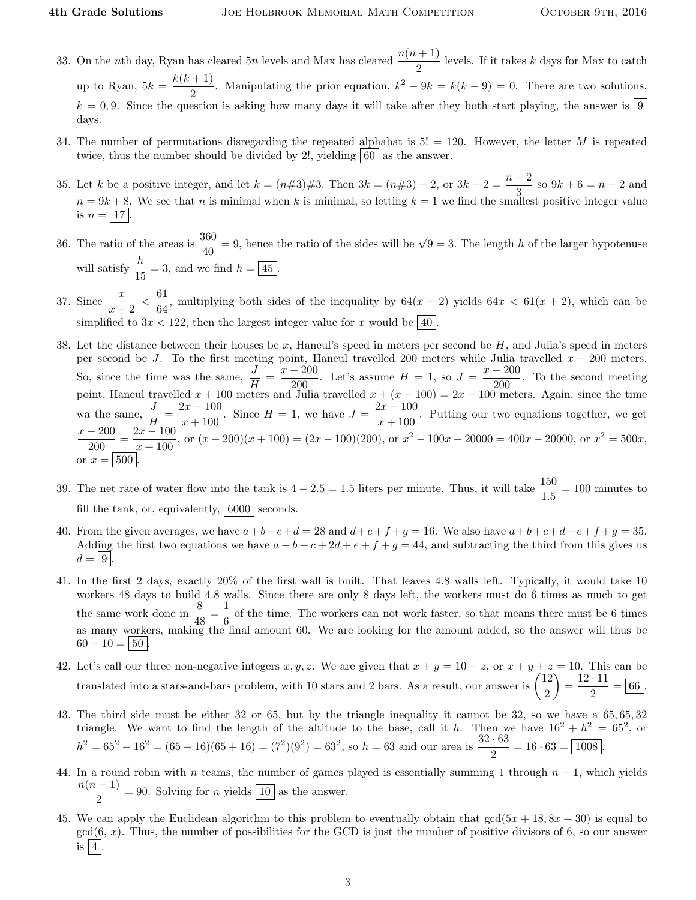- 33. On the nth day, Ryan has cleared 5n levels and Max has cleared  $\frac{n(n+1)}{2}$  levels. If it takes k days for Max to catch up to Ryan,  $5k = \frac{k(k+1)}{2}$  $\frac{1}{2}$ . Manipulating the prior equation,  $k^2 - 9k = k(k-9) = 0$ . There are two solutions,  $k = 0, 9$ . Since the question is asking how many days it will take after they both start playing, the answer is  $\boxed{9}$ days.
- 34. The number of permutations disregarding the repeated alphabat is  $5! = 120$ . However, the letter M is repeated twice, thus the number should be divided by 2!, yielding  $|60|$  as the answer.
- 35. Let k be a positive integer, and let  $k = (n \# 3) \# 3$ . Then  $3k = (n \# 3) 2$ , or  $3k + 2 = \frac{n-2}{2}$  $\frac{2}{3}$  so  $9k + 6 = n - 2$  and  $n = 9k + 8$ . We see that n is minimal when k is minimal, so letting  $k = 1$  we find the smallest positive integer value is  $n = |17|$ .
- 36. The ratio of the areas is  $\frac{360}{40} = 9$ , hence the ratio of the sides will be  $\sqrt{9} = 3$ . The length h of the larger hypotenuse will satisfy  $\frac{h}{15} = 3$ , and we find  $h = \boxed{45}$ .
- 37. Since  $\frac{x}{x+2} < \frac{61}{64}$  $\frac{64}{64}$ , multiplying both sides of the inequality by  $64(x + 2)$  yields  $64x < 61(x + 2)$ , which can be simplified to  $3x < 122$ , then the largest integer value for x would be  $\boxed{40}$
- 38. Let the distance between their houses be x, Haneul's speed in meters per second be  $H$ , and Julia's speed in meters per second be J. To the first meeting point, Haneul travelled 200 meters while Julia travelled  $x - 200$  meters. So, since the time was the same,  $\frac{J}{H} = \frac{x - 200}{.200}$  $\frac{-200}{200}$ . Let's assume  $H = 1$ , so  $J = \frac{x - 200}{200}$  $\frac{200}{200}$ . To the second meeting point, Haneul travelled  $x + 100$  meters and Julia travelled  $x + (x - 100) = 2x - 100$  meters. Again, since the time wa the same,  $\frac{J}{H} = \frac{2x - 100}{x + 100}$  $\frac{2x-100}{x+100}$ . Since  $H = 1$ , we have  $J = \frac{2x-100}{x+100}$  $\frac{x}{x+100}$ . Putting our two equations together, we get  $x - 200$  $\frac{-200}{200} = \frac{2x - 100}{x + 100}$  $\frac{dx - 100}{x+100}$ , or  $(x - 200)(x + 100) = (2x - 100)(200)$ , or  $x^2 - 100x - 20000 = 400x - 20000$ , or  $x^2 = 500x$ , or  $x = |500|$
- 39. The net rate of water flow into the tank is  $4 2.5 = 1.5$  liters per minute. Thus, it will take  $\frac{150}{1.5} = 100$  minutes to fill the tank, or, equivalently,  $6000$  seconds.
- 40. From the given averages, we have  $a+b+c+d=28$  and  $d+e+f+g=16$ . We also have  $a+b+c+d+e+f+g=35$ . Adding the first two equations we have  $a + b + c + 2d + e + f + g = 44$ , and subtracting the third from this gives us  $d = |9|$ .
- 41. In the first 2 days, exactly 20% of the first wall is built. That leaves 4.8 walls left. Typically, it would take 10 workers 48 days to build 4.8 walls. Since there are only 8 days left, the workers must do 6 times as much to get the same work done in  $\frac{8}{48} = \frac{1}{6}$  $\frac{1}{6}$  of the time. The workers can not work faster, so that means there must be 6 times as many workers, making the final amount 60. We are looking for the amount added, so the answer will thus be  $60 - 10 = 50$
- 42. Let's call our three non-negative integers  $x, y, z$ . We are given that  $x + y = 10 z$ , or  $x + y + z = 10$ . This can be translated into a stars-and-bars problem, with 10 stars and 2 bars. As a result, our answer is  $\binom{12}{2}$ 2  $= \frac{12 \cdot 11}{8}$  $\frac{1}{2} = 66$ .
- 43. The third side must be either 32 or 65, but by the triangle inequality it cannot be 32, so we have a 65, 65, 32 triangle. We want to find the length of the altitude to the base, call it h. Then we have  $16^2 + h^2 = 65^2$ , or  $h^2 = 65^2 - 16^2 = (65 - 16)(65 + 16) = (7^2)(9^2) = 63^2$ , so  $h = 63$  and our area is  $\frac{32 \cdot 63}{2} = 16 \cdot 63 = \boxed{1008}$ .
- 44. In a round robin with *n* teams, the number of games played is essentially summing 1 through  $n 1$ , which yields  $n(n-1)$  $\frac{1}{2}$  = 90. Solving for *n* yields  $\boxed{10}$  as the answer.
- 45. We can apply the Euclidean algorithm to this problem to eventually obtain that  $gcd(5x + 18, 8x + 30)$  is equal to  $gcd(6, x)$ . Thus, the number of possibilities for the GCD is just the number of positive divisors of 6, so our answer is  $|4|$ .